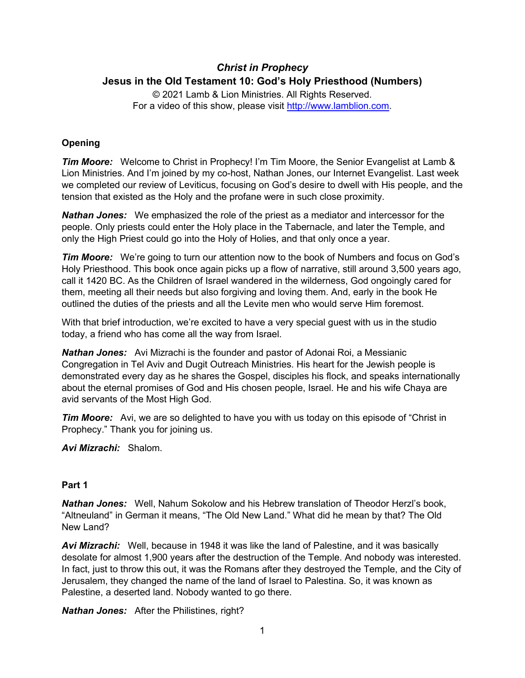# *Christ in Prophecy* **Jesus in the Old Testament 10: God's Holy Priesthood (Numbers)**

© 2021 Lamb & Lion Ministries. All Rights Reserved. For a video of this show, please visit [http://www.lamblion.com.](http://www.lamblion.com/)

# **Opening**

*Tim Moore:* Welcome to Christ in Prophecy! I'm Tim Moore, the Senior Evangelist at Lamb & Lion Ministries. And I'm joined by my co-host, Nathan Jones, our Internet Evangelist. Last week we completed our review of Leviticus, focusing on God's desire to dwell with His people, and the tension that existed as the Holy and the profane were in such close proximity.

*Nathan Jones:* We emphasized the role of the priest as a mediator and intercessor for the people. Only priests could enter the Holy place in the Tabernacle, and later the Temple, and only the High Priest could go into the Holy of Holies, and that only once a year.

*Tim Moore:* We're going to turn our attention now to the book of Numbers and focus on God's Holy Priesthood. This book once again picks up a flow of narrative, still around 3,500 years ago, call it 1420 BC. As the Children of Israel wandered in the wilderness, God ongoingly cared for them, meeting all their needs but also forgiving and loving them. And, early in the book He outlined the duties of the priests and all the Levite men who would serve Him foremost.

With that brief introduction, we're excited to have a very special guest with us in the studio today, a friend who has come all the way from Israel.

*Nathan Jones:* Avi Mizrachi is the founder and pastor of Adonai Roi, a Messianic Congregation in Tel Aviv and Dugit Outreach Ministries. His heart for the Jewish people is demonstrated every day as he shares the Gospel, disciples his flock, and speaks internationally about the eternal promises of God and His chosen people, Israel. He and his wife Chaya are avid servants of the Most High God.

*Tim Moore:* Avi, we are so delighted to have you with us today on this episode of "Christ in Prophecy." Thank you for joining us.

*Avi Mizrachi:* Shalom.

# **Part 1**

*Nathan Jones:* Well, Nahum Sokolow and his Hebrew translation of Theodor Herzl's book, "Altneuland" in German it means, "The Old New Land." What did he mean by that? The Old New Land?

*Avi Mizrachi:* Well, because in 1948 it was like the land of Palestine, and it was basically desolate for almost 1,900 years after the destruction of the Temple. And nobody was interested. In fact, just to throw this out, it was the Romans after they destroyed the Temple, and the City of Jerusalem, they changed the name of the land of Israel to Palestina. So, it was known as Palestine, a deserted land. Nobody wanted to go there.

*Nathan Jones:* After the Philistines, right?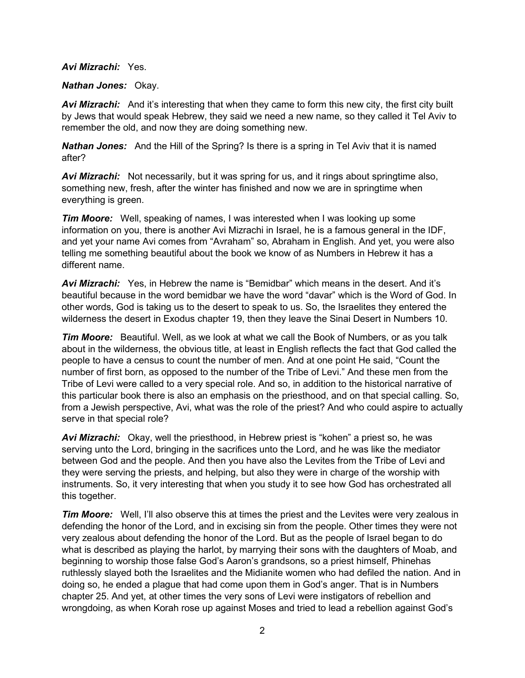#### *Avi Mizrachi:* Yes.

#### *Nathan Jones:* Okay.

*Avi Mizrachi:* And it's interesting that when they came to form this new city, the first city built by Jews that would speak Hebrew, they said we need a new name, so they called it Tel Aviv to remember the old, and now they are doing something new.

*Nathan Jones:* And the Hill of the Spring? Is there is a spring in Tel Aviv that it is named after?

*Avi Mizrachi:* Not necessarily, but it was spring for us, and it rings about springtime also, something new, fresh, after the winter has finished and now we are in springtime when everything is green.

*Tim Moore:* Well, speaking of names, I was interested when I was looking up some information on you, there is another Avi Mizrachi in Israel, he is a famous general in the IDF, and yet your name Avi comes from "Avraham" so, Abraham in English. And yet, you were also telling me something beautiful about the book we know of as Numbers in Hebrew it has a different name.

*Avi Mizrachi:* Yes, in Hebrew the name is "Bemidbar" which means in the desert. And it's beautiful because in the word bemidbar we have the word "davar" which is the Word of God. In other words, God is taking us to the desert to speak to us. So, the Israelites they entered the wilderness the desert in Exodus chapter 19, then they leave the Sinai Desert in Numbers 10.

*Tim Moore:* Beautiful. Well, as we look at what we call the Book of Numbers, or as you talk about in the wilderness, the obvious title, at least in English reflects the fact that God called the people to have a census to count the number of men. And at one point He said, "Count the number of first born, as opposed to the number of the Tribe of Levi." And these men from the Tribe of Levi were called to a very special role. And so, in addition to the historical narrative of this particular book there is also an emphasis on the priesthood, and on that special calling. So, from a Jewish perspective, Avi, what was the role of the priest? And who could aspire to actually serve in that special role?

*Avi Mizrachi:* Okay, well the priesthood, in Hebrew priest is "kohen" a priest so, he was serving unto the Lord, bringing in the sacrifices unto the Lord, and he was like the mediator between God and the people. And then you have also the Levites from the Tribe of Levi and they were serving the priests, and helping, but also they were in charge of the worship with instruments. So, it very interesting that when you study it to see how God has orchestrated all this together.

*Tim Moore:* Well, I'll also observe this at times the priest and the Levites were very zealous in defending the honor of the Lord, and in excising sin from the people. Other times they were not very zealous about defending the honor of the Lord. But as the people of Israel began to do what is described as playing the harlot, by marrying their sons with the daughters of Moab, and beginning to worship those false God's Aaron's grandsons, so a priest himself, Phinehas ruthlessly slayed both the Israelites and the Midianite women who had defiled the nation. And in doing so, he ended a plague that had come upon them in God's anger. That is in Numbers chapter 25. And yet, at other times the very sons of Levi were instigators of rebellion and wrongdoing, as when Korah rose up against Moses and tried to lead a rebellion against God's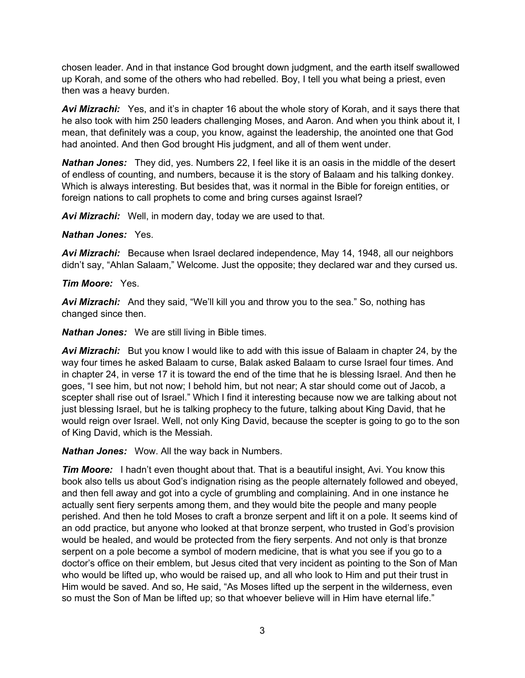chosen leader. And in that instance God brought down judgment, and the earth itself swallowed up Korah, and some of the others who had rebelled. Boy, I tell you what being a priest, even then was a heavy burden.

*Avi Mizrachi:* Yes, and it's in chapter 16 about the whole story of Korah, and it says there that he also took with him 250 leaders challenging Moses, and Aaron. And when you think about it, I mean, that definitely was a coup, you know, against the leadership, the anointed one that God had anointed. And then God brought His judgment, and all of them went under.

*Nathan Jones:* They did, yes. Numbers 22, I feel like it is an oasis in the middle of the desert of endless of counting, and numbers, because it is the story of Balaam and his talking donkey. Which is always interesting. But besides that, was it normal in the Bible for foreign entities, or foreign nations to call prophets to come and bring curses against Israel?

*Avi Mizrachi:* Well, in modern day, today we are used to that.

#### *Nathan Jones:* Yes.

*Avi Mizrachi:* Because when Israel declared independence, May 14, 1948, all our neighbors didn't say, "Ahlan Salaam," Welcome. Just the opposite; they declared war and they cursed us.

#### *Tim Moore:* Yes.

*Avi Mizrachi:* And they said, "We'll kill you and throw you to the sea." So, nothing has changed since then.

*Nathan Jones:* We are still living in Bible times.

**Avi Mizrachi:** But you know I would like to add with this issue of Balaam in chapter 24, by the way four times he asked Balaam to curse, Balak asked Balaam to curse Israel four times. And in chapter 24, in verse 17 it is toward the end of the time that he is blessing Israel. And then he goes, "I see him, but not now; I behold him, but not near; A star should come out of Jacob, a scepter shall rise out of Israel." Which I find it interesting because now we are talking about not just blessing Israel, but he is talking prophecy to the future, talking about King David, that he would reign over Israel. Well, not only King David, because the scepter is going to go to the son of King David, which is the Messiah.

*Nathan Jones:* Wow. All the way back in Numbers.

*Tim Moore:* I hadn't even thought about that. That is a beautiful insight, Avi. You know this book also tells us about God's indignation rising as the people alternately followed and obeyed, and then fell away and got into a cycle of grumbling and complaining. And in one instance he actually sent fiery serpents among them, and they would bite the people and many people perished. And then he told Moses to craft a bronze serpent and lift it on a pole. It seems kind of an odd practice, but anyone who looked at that bronze serpent, who trusted in God's provision would be healed, and would be protected from the fiery serpents. And not only is that bronze serpent on a pole become a symbol of modern medicine, that is what you see if you go to a doctor's office on their emblem, but Jesus cited that very incident as pointing to the Son of Man who would be lifted up, who would be raised up, and all who look to Him and put their trust in Him would be saved. And so, He said, "As Moses lifted up the serpent in the wilderness, even so must the Son of Man be lifted up; so that whoever believe will in Him have eternal life."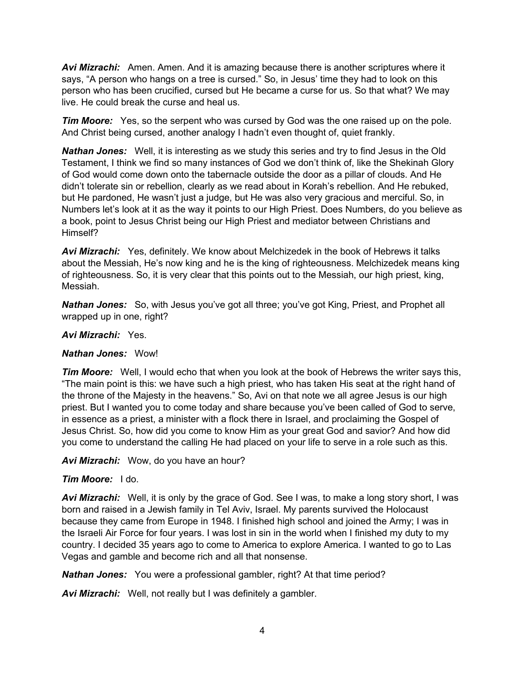*Avi Mizrachi:* Amen. Amen. And it is amazing because there is another scriptures where it says, "A person who hangs on a tree is cursed." So, in Jesus' time they had to look on this person who has been crucified, cursed but He became a curse for us. So that what? We may live. He could break the curse and heal us.

*Tim Moore:* Yes, so the serpent who was cursed by God was the one raised up on the pole. And Christ being cursed, another analogy I hadn't even thought of, quiet frankly.

*Nathan Jones:* Well, it is interesting as we study this series and try to find Jesus in the Old Testament, I think we find so many instances of God we don't think of, like the Shekinah Glory of God would come down onto the tabernacle outside the door as a pillar of clouds. And He didn't tolerate sin or rebellion, clearly as we read about in Korah's rebellion. And He rebuked, but He pardoned, He wasn't just a judge, but He was also very gracious and merciful. So, in Numbers let's look at it as the way it points to our High Priest. Does Numbers, do you believe as a book, point to Jesus Christ being our High Priest and mediator between Christians and Himself?

*Avi Mizrachi:* Yes, definitely. We know about Melchizedek in the book of Hebrews it talks about the Messiah, He's now king and he is the king of righteousness. Melchizedek means king of righteousness. So, it is very clear that this points out to the Messiah, our high priest, king, Messiah.

*Nathan Jones:* So, with Jesus you've got all three; you've got King, Priest, and Prophet all wrapped up in one, right?

## *Avi Mizrachi:* Yes.

## *Nathan Jones:* Wow!

*Tim Moore:* Well, I would echo that when you look at the book of Hebrews the writer says this, "The main point is this: we have such a high priest, who has taken His seat at the right hand of the throne of the Majesty in the heavens." So, Avi on that note we all agree Jesus is our high priest. But I wanted you to come today and share because you've been called of God to serve, in essence as a priest, a minister with a flock there in Israel, and proclaiming the Gospel of Jesus Christ. So, how did you come to know Him as your great God and savior? And how did you come to understand the calling He had placed on your life to serve in a role such as this.

*Avi Mizrachi:* Wow, do you have an hour?

## *Tim Moore:* I do.

*Avi Mizrachi:* Well, it is only by the grace of God. See I was, to make a long story short, I was born and raised in a Jewish family in Tel Aviv, Israel. My parents survived the Holocaust because they came from Europe in 1948. I finished high school and joined the Army; I was in the Israeli Air Force for four years. I was lost in sin in the world when I finished my duty to my country. I decided 35 years ago to come to America to explore America. I wanted to go to Las Vegas and gamble and become rich and all that nonsense.

*Nathan Jones:* You were a professional gambler, right? At that time period?

*Avi Mizrachi:* Well, not really but I was definitely a gambler.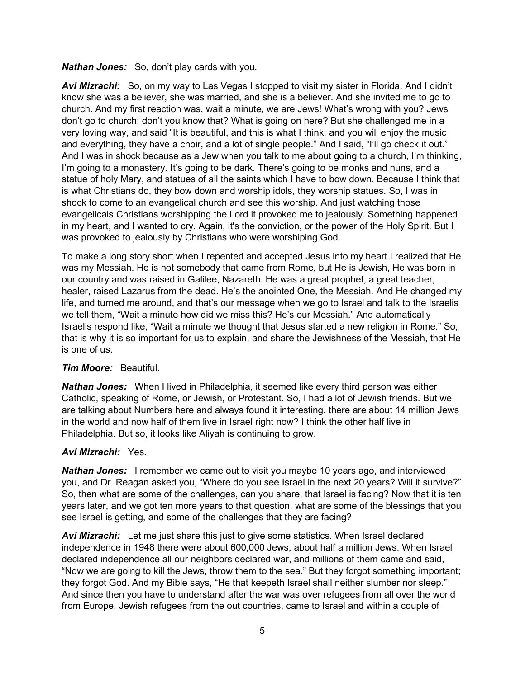*Nathan Jones:* So, don't play cards with you.

*Avi Mizrachi:* So, on my way to Las Vegas I stopped to visit my sister in Florida. And I didn't know she was a believer, she was married, and she is a believer. And she invited me to go to church. And my first reaction was, wait a minute, we are Jews! What's wrong with you? Jews don't go to church; don't you know that? What is going on here? But she challenged me in a very loving way, and said "It is beautiful, and this is what I think, and you will enjoy the music and everything, they have a choir, and a lot of single people." And I said, "I'll go check it out." And I was in shock because as a Jew when you talk to me about going to a church, I'm thinking, I'm going to a monastery. It's going to be dark. There's going to be monks and nuns, and a statue of holy Mary, and statues of all the saints which I have to bow down. Because I think that is what Christians do, they bow down and worship idols, they worship statues. So, I was in shock to come to an evangelical church and see this worship. And just watching those evangelicals Christians worshipping the Lord it provoked me to jealously. Something happened in my heart, and I wanted to cry. Again, it's the conviction, or the power of the Holy Spirit. But I was provoked to jealously by Christians who were worshiping God.

To make a long story short when I repented and accepted Jesus into my heart I realized that He was my Messiah. He is not somebody that came from Rome, but He is Jewish, He was born in our country and was raised in Galilee, Nazareth. He was a great prophet, a great teacher, healer, raised Lazarus from the dead. He's the anointed One, the Messiah. And He changed my life, and turned me around, and that's our message when we go to Israel and talk to the Israelis we tell them, "Wait a minute how did we miss this? He's our Messiah." And automatically Israelis respond like, "Wait a minute we thought that Jesus started a new religion in Rome." So, that is why it is so important for us to explain, and share the Jewishness of the Messiah, that He is one of us.

## *Tim Moore:* Beautiful.

*Nathan Jones:* When I lived in Philadelphia, it seemed like every third person was either Catholic, speaking of Rome, or Jewish, or Protestant. So, I had a lot of Jewish friends. But we are talking about Numbers here and always found it interesting, there are about 14 million Jews in the world and now half of them live in Israel right now? I think the other half live in Philadelphia. But so, it looks like Aliyah is continuing to grow.

# *Avi Mizrachi:* Yes.

*Nathan Jones:* I remember we came out to visit you maybe 10 years ago, and interviewed you, and Dr. Reagan asked you, "Where do you see Israel in the next 20 years? Will it survive?" So, then what are some of the challenges, can you share, that Israel is facing? Now that it is ten years later, and we got ten more years to that question, what are some of the blessings that you see Israel is getting, and some of the challenges that they are facing?

*Avi Mizrachi:* Let me just share this just to give some statistics. When Israel declared independence in 1948 there were about 600,000 Jews, about half a million Jews. When Israel declared independence all our neighbors declared war, and millions of them came and said, "Now we are going to kill the Jews, throw them to the sea." But they forgot something important; they forgot God. And my Bible says, "He that keepeth Israel shall neither slumber nor sleep." And since then you have to understand after the war was over refugees from all over the world from Europe, Jewish refugees from the out countries, came to Israel and within a couple of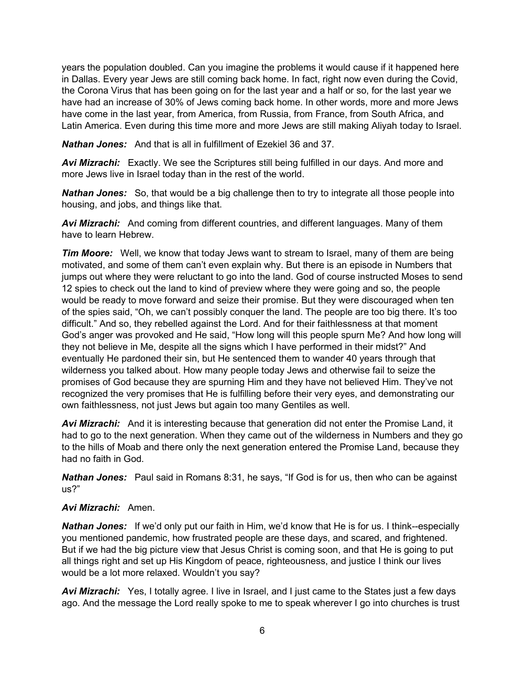years the population doubled. Can you imagine the problems it would cause if it happened here in Dallas. Every year Jews are still coming back home. In fact, right now even during the Covid, the Corona Virus that has been going on for the last year and a half or so, for the last year we have had an increase of 30% of Jews coming back home. In other words, more and more Jews have come in the last year, from America, from Russia, from France, from South Africa, and Latin America. Even during this time more and more Jews are still making Aliyah today to Israel.

*Nathan Jones:* And that is all in fulfillment of Ezekiel 36 and 37.

*Avi Mizrachi:* Exactly. We see the Scriptures still being fulfilled in our days. And more and more Jews live in Israel today than in the rest of the world.

*Nathan Jones:* So, that would be a big challenge then to try to integrate all those people into housing, and jobs, and things like that.

*Avi Mizrachi:* And coming from different countries, and different languages. Many of them have to learn Hebrew.

*Tim Moore:* Well, we know that today Jews want to stream to Israel, many of them are being motivated, and some of them can't even explain why. But there is an episode in Numbers that jumps out where they were reluctant to go into the land. God of course instructed Moses to send 12 spies to check out the land to kind of preview where they were going and so, the people would be ready to move forward and seize their promise. But they were discouraged when ten of the spies said, "Oh, we can't possibly conquer the land. The people are too big there. It's too difficult." And so, they rebelled against the Lord. And for their faithlessness at that moment God's anger was provoked and He said, "How long will this people spurn Me? And how long will they not believe in Me, despite all the signs which I have performed in their midst?" And eventually He pardoned their sin, but He sentenced them to wander 40 years through that wilderness you talked about. How many people today Jews and otherwise fail to seize the promises of God because they are spurning Him and they have not believed Him. They've not recognized the very promises that He is fulfilling before their very eyes, and demonstrating our own faithlessness, not just Jews but again too many Gentiles as well.

*Avi Mizrachi:* And it is interesting because that generation did not enter the Promise Land, it had to go to the next generation. When they came out of the wilderness in Numbers and they go to the hills of Moab and there only the next generation entered the Promise Land, because they had no faith in God.

*Nathan Jones:* Paul said in Romans 8:31, he says, "If God is for us, then who can be against us?"

## *Avi Mizrachi:* Amen.

*Nathan Jones:* If we'd only put our faith in Him, we'd know that He is for us. I think--especially you mentioned pandemic, how frustrated people are these days, and scared, and frightened. But if we had the big picture view that Jesus Christ is coming soon, and that He is going to put all things right and set up His Kingdom of peace, righteousness, and justice I think our lives would be a lot more relaxed. Wouldn't you say?

*Avi Mizrachi:* Yes, I totally agree. I live in Israel, and I just came to the States just a few days ago. And the message the Lord really spoke to me to speak wherever I go into churches is trust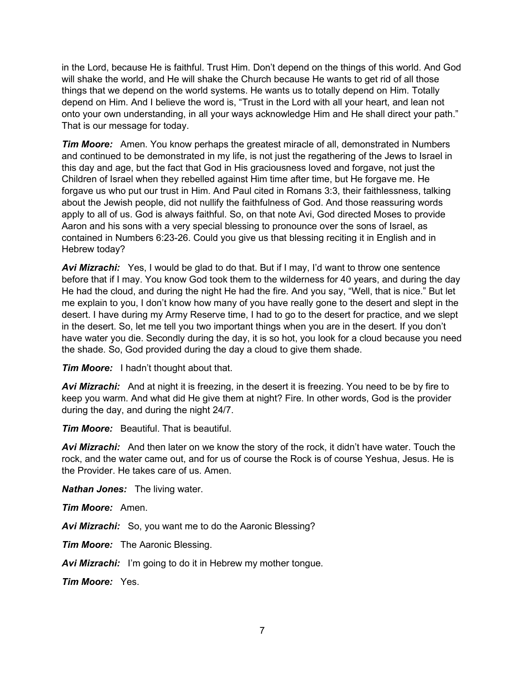in the Lord, because He is faithful. Trust Him. Don't depend on the things of this world. And God will shake the world, and He will shake the Church because He wants to get rid of all those things that we depend on the world systems. He wants us to totally depend on Him. Totally depend on Him. And I believe the word is, "Trust in the Lord with all your heart, and lean not onto your own understanding, in all your ways acknowledge Him and He shall direct your path." That is our message for today.

*Tim Moore:* Amen. You know perhaps the greatest miracle of all, demonstrated in Numbers and continued to be demonstrated in my life, is not just the regathering of the Jews to Israel in this day and age, but the fact that God in His graciousness loved and forgave, not just the Children of Israel when they rebelled against Him time after time, but He forgave me. He forgave us who put our trust in Him. And Paul cited in Romans 3:3, their faithlessness, talking about the Jewish people, did not nullify the faithfulness of God. And those reassuring words apply to all of us. God is always faithful. So, on that note Avi, God directed Moses to provide Aaron and his sons with a very special blessing to pronounce over the sons of Israel, as contained in Numbers 6:23-26. Could you give us that blessing reciting it in English and in Hebrew today?

*Avi Mizrachi:* Yes, I would be glad to do that. But if I may, I'd want to throw one sentence before that if I may. You know God took them to the wilderness for 40 years, and during the day He had the cloud, and during the night He had the fire. And you say, "Well, that is nice." But let me explain to you, I don't know how many of you have really gone to the desert and slept in the desert. I have during my Army Reserve time, I had to go to the desert for practice, and we slept in the desert. So, let me tell you two important things when you are in the desert. If you don't have water you die. Secondly during the day, it is so hot, you look for a cloud because you need the shade. So, God provided during the day a cloud to give them shade.

*Tim Moore:* I hadn't thought about that.

*Avi Mizrachi:* And at night it is freezing, in the desert it is freezing. You need to be by fire to keep you warm. And what did He give them at night? Fire. In other words, God is the provider during the day, and during the night 24/7.

*Tim Moore:* Beautiful. That is beautiful.

*Avi Mizrachi:* And then later on we know the story of the rock, it didn't have water. Touch the rock, and the water came out, and for us of course the Rock is of course Yeshua, Jesus. He is the Provider. He takes care of us. Amen.

*Nathan Jones:* The living water.

*Tim Moore:* Amen.

*Avi Mizrachi:* So, you want me to do the Aaronic Blessing?

*Tim Moore:* The Aaronic Blessing.

*Avi Mizrachi:* I'm going to do it in Hebrew my mother tongue.

*Tim Moore:* Yes.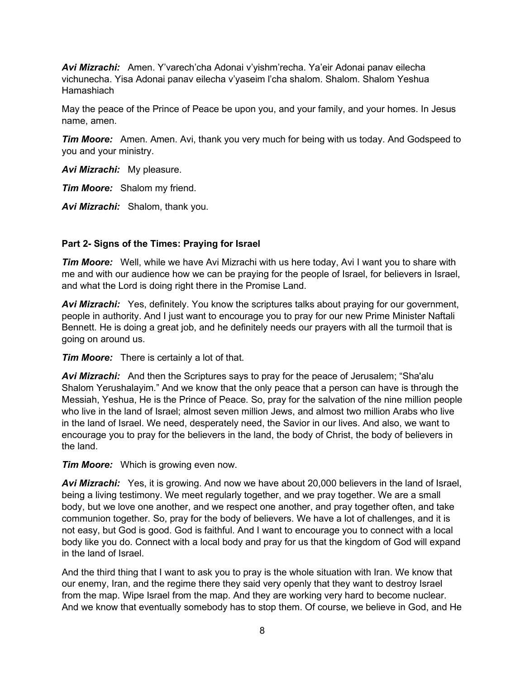*Avi Mizrachi:* Amen. Y'varech'cha Adonai v'yishm'recha. Ya'eir Adonai panav eilecha vichunecha. Yisa Adonai panav eilecha v'yaseim l'cha shalom. Shalom. Shalom Yeshua Hamashiach

May the peace of the Prince of Peace be upon you, and your family, and your homes. In Jesus name, amen.

*Tim Moore:* Amen. Amen. Avi, thank you very much for being with us today. And Godspeed to you and your ministry.

*Avi Mizrachi:* My pleasure.

*Tim Moore:* Shalom my friend.

*Avi Mizrachi:* Shalom, thank you.

## **Part 2- Signs of the Times: Praying for Israel**

*Tim Moore:* Well, while we have Avi Mizrachi with us here today, Avi I want you to share with me and with our audience how we can be praying for the people of Israel, for believers in Israel, and what the Lord is doing right there in the Promise Land.

*Avi Mizrachi:* Yes, definitely. You know the scriptures talks about praying for our government, people in authority. And I just want to encourage you to pray for our new Prime Minister Naftali Bennett. He is doing a great job, and he definitely needs our prayers with all the turmoil that is going on around us.

*Tim Moore:* There is certainly a lot of that.

*Avi Mizrachi:* And then the Scriptures says to pray for the peace of Jerusalem; "Sha'alu Shalom Yerushalayim." And we know that the only peace that a person can have is through the Messiah, Yeshua, He is the Prince of Peace. So, pray for the salvation of the nine million people who live in the land of Israel; almost seven million Jews, and almost two million Arabs who live in the land of Israel. We need, desperately need, the Savior in our lives. And also, we want to encourage you to pray for the believers in the land, the body of Christ, the body of believers in the land.

*Tim Moore:* Which is growing even now.

*Avi Mizrachi:* Yes, it is growing. And now we have about 20,000 believers in the land of Israel, being a living testimony. We meet regularly together, and we pray together. We are a small body, but we love one another, and we respect one another, and pray together often, and take communion together. So, pray for the body of believers. We have a lot of challenges, and it is not easy, but God is good. God is faithful. And I want to encourage you to connect with a local body like you do. Connect with a local body and pray for us that the kingdom of God will expand in the land of Israel.

And the third thing that I want to ask you to pray is the whole situation with Iran. We know that our enemy, Iran, and the regime there they said very openly that they want to destroy Israel from the map. Wipe Israel from the map. And they are working very hard to become nuclear. And we know that eventually somebody has to stop them. Of course, we believe in God, and He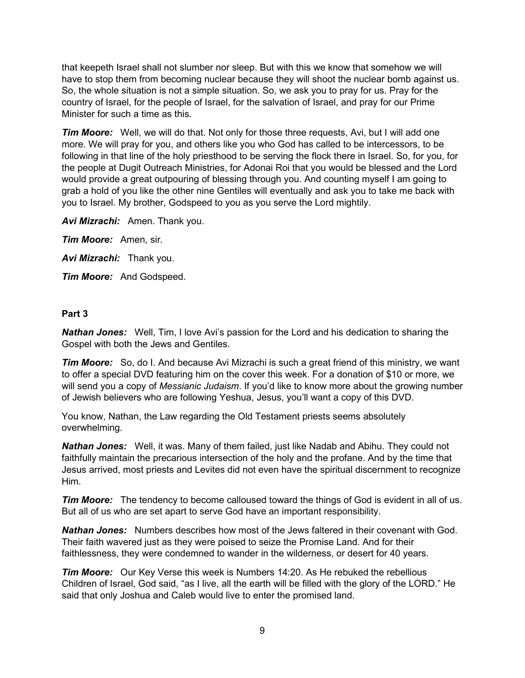that keepeth Israel shall not slumber nor sleep. But with this we know that somehow we will have to stop them from becoming nuclear because they will shoot the nuclear bomb against us. So, the whole situation is not a simple situation. So, we ask you to pray for us. Pray for the country of Israel, for the people of Israel, for the salvation of Israel, and pray for our Prime Minister for such a time as this.

*Tim Moore:* Well, we will do that. Not only for those three requests, Avi, but I will add one more. We will pray for you, and others like you who God has called to be intercessors, to be following in that line of the holy priesthood to be serving the flock there in Israel. So, for you, for the people at Dugit Outreach Ministries, for Adonai Roi that you would be blessed and the Lord would provide a great outpouring of blessing through you. And counting myself I am going to grab a hold of you like the other nine Gentiles will eventually and ask you to take me back with you to Israel. My brother, Godspeed to you as you serve the Lord mightily.

*Avi Mizrachi:* Amen. Thank you.

*Tim Moore:* Amen, sir.

*Avi Mizrachi:* Thank you.

*Tim Moore:* And Godspeed.

## **Part 3**

*Nathan Jones:* Well, Tim, I love Avi's passion for the Lord and his dedication to sharing the Gospel with both the Jews and Gentiles.

**Tim Moore:** So, do I. And because Avi Mizrachi is such a great friend of this ministry, we want to offer a special DVD featuring him on the cover this week. For a donation of \$10 or more, we will send you a copy of *Messianic Judaism*. If you'd like to know more about the growing number of Jewish believers who are following Yeshua, Jesus, you'll want a copy of this DVD.

You know, Nathan, the Law regarding the Old Testament priests seems absolutely overwhelming.

*Nathan Jones:* Well, it was. Many of them failed, just like Nadab and Abihu. They could not faithfully maintain the precarious intersection of the holy and the profane. And by the time that Jesus arrived, most priests and Levites did not even have the spiritual discernment to recognize Him.

*Tim Moore:* The tendency to become calloused toward the things of God is evident in all of us. But all of us who are set apart to serve God have an important responsibility.

*Nathan Jones:* Numbers describes how most of the Jews faltered in their covenant with God. Their faith wavered just as they were poised to seize the Promise Land. And for their faithlessness, they were condemned to wander in the wilderness, or desert for 40 years.

*Tim Moore:* Our Key Verse this week is Numbers 14:20. As He rebuked the rebellious Children of Israel, God said, "as I live, all the earth will be filled with the glory of the LORD." He said that only Joshua and Caleb would live to enter the promised land.